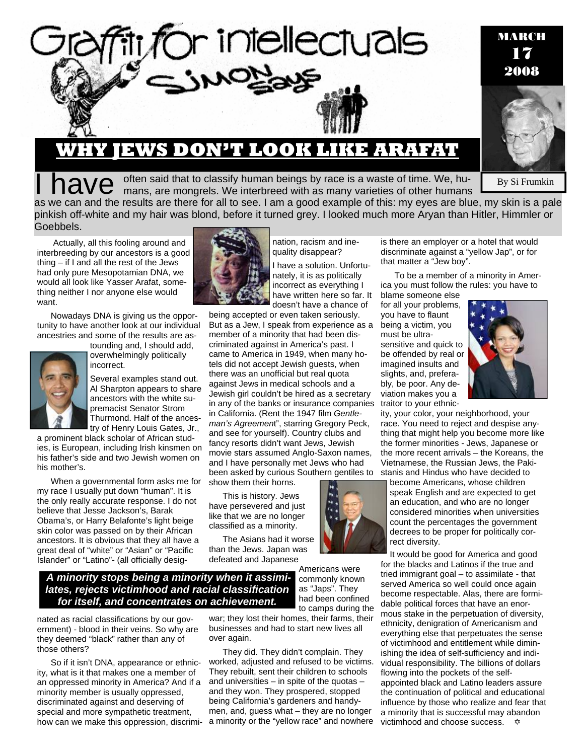

# **WHY JEWS DON'T LOOK LIKE ARAFAT**

I have often said that to classify human beings by race is a waste of time. We, hu-<br>I have mans, are mongrels. We interbreed with as many varieties of other humans

By Si Frumkin

as we can and the results are there for all to see. I am a good example of this: my eyes are blue, my skin is a pale pinkish off-white and my hair was blond, before it turned grey. I looked much more Aryan than Hitler, Himmler or Goebbels.

 Actually, all this fooling around and interbreeding by our ancestors is a good thing – if I and all the rest of the Jews had only pure Mesopotamian DNA, we would all look like Yasser Arafat, something neither I nor anyone else would want.

Nowadays DNA is giving us the opportunity to have another look at our individual ancestries and some of the results are as-



tounding and, I should add, overwhelmingly politically incorrect.

Several examples stand out. Al Sharpton appears to share ancestors with the white supremacist Senator Strom Thurmond. Half of the ancestry of Henry Louis Gates, Jr.,

a prominent black scholar of African studies, is European, including Irish kinsmen on his father's side and two Jewish women on his mother's.

When a governmental form asks me for my race I usually put down "human". It is the only really accurate response. I do not believe that Jesse Jackson's, Barak Obama's, or Harry Belafonte's light beige skin color was passed on by their African ancestors. It is obvious that they all have a great deal of "white" or "Asian" or "Pacific Islander" or "Latino"- (all officially desig-



nation, racism and inequality disappear?

I have a solution. Unfortunately, it is as politically incorrect as everything I have written here so far. It doesn't have a chance of

being accepted or even taken seriously. But as a Jew, I speak from experience as a member of a minority that had been discriminated against in America's past. I came to America in 1949, when many hotels did not accept Jewish guests, when there was an unofficial but real quota against Jews in medical schools and a Jewish girl couldn't be hired as a secretary in any of the banks or insurance companies in California. (Rent the 1947 film *Gentleman's Agreemen*t", starring Gregory Peck, and see for yourself). Country clubs and fancy resorts didn't want Jews, Jewish movie stars assumed Anglo-Saxon names, and I have personally met Jews who had been asked by curious Southern gentiles to show them their horns.

This is history. Jews have persevered and just like that we are no longer classified as a minority.

than the Jews. Japan was defeated and Japanese

The Asians had it worse

Americans were commonly known as "Japs". They had been confined to camps during the

### *A minority stops being a minority when it assimilates, rejects victimhood and racial classification for itself, and concentrates on achievement.*

nated as racial classifications by our government) - blood in their veins. So why are they deemed "black" rather than any of those others?

So if it isn't DNA, appearance or ethnicity, what is it that makes one a member of an oppressed minority in America? And if a minority member is usually oppressed, discriminated against and deserving of special and more sympathetic treatment, how can we make this oppression, discrimi-

war; they lost their homes, their farms, their businesses and had to start new lives all over again.

They did. They didn't complain. They worked, adjusted and refused to be victims. They rebuilt, sent their children to schools and universities – in spite of the quotas – and they won. They prospered, stopped being California's gardeners and handymen, and, guess what – they are no longer a minority or the "yellow race" and nowhere

is there an employer or a hotel that would discriminate against a "yellow Jap", or for that matter a "Jew boy".

To be a member of a minority in America you must follow the rules: you have to

blame someone else for all your problems, you have to flaunt being a victim, you must be ultrasensitive and quick to be offended by real or imagined insults and slights, and, preferably, be poor. Any deviation makes you a traitor to your ethnic-



ity, your color, your neighborhood, your race. You need to reject and despise anything that might help you become more like the former minorities - Jews, Japanese or the more recent arrivals – the Koreans, the Vietnamese, the Russian Jews, the Pakistanis and Hindus who have decided to

become Americans, whose children speak English and are expected to get an education, and who are no longer considered minorities when universities count the percentages the government decrees to be proper for politically correct diversity.

It would be good for America and good for the blacks and Latinos if the true and tried immigrant goal – to assimilate - that served America so well could once again become respectable. Alas, there are formidable political forces that have an enormous stake in the perpetuation of diversity, ethnicity, denigration of Americanism and everything else that perpetuates the sense of victimhood and entitlement while diminishing the idea of self-sufficiency and individual responsibility. The billions of dollars flowing into the pockets of the selfappointed black and Latino leaders assure the continuation of political and educational influence by those who realize and fear that a minority that is successful may abandon victimhood and choose success.  $\Phi$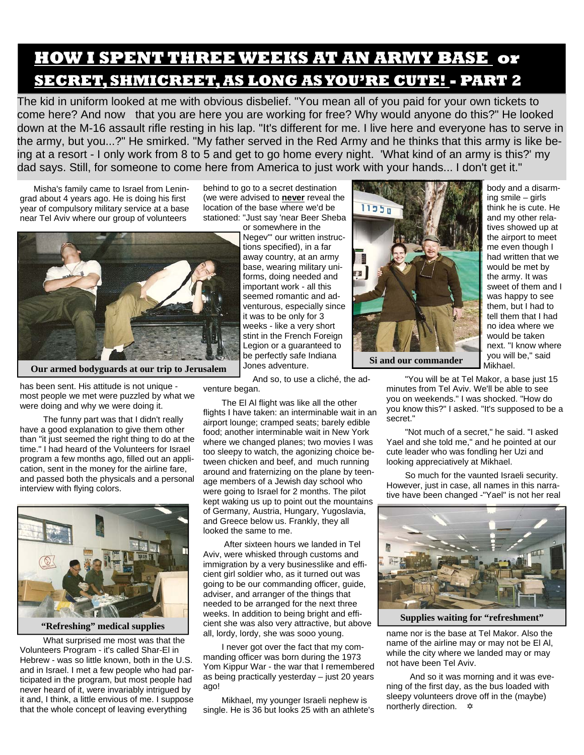# **HOW I SPENT THREE WEEKS AT AN ARMY BASE or SECRET, SHMICREET, AS LONG AS YOU'RE CUTE! - PART 2**

The kid in uniform looked at me with obvious disbelief. "You mean all of you paid for your own tickets to come here? And now that you are here you are working for free? Why would anyone do this?" He looked down at the M-16 assault rifle resting in his lap. "It's different for me. I live here and everyone has to serve in the army, but you...?" He smirked. "My father served in the Red Army and he thinks that this army is like being at a resort - I only work from 8 to 5 and get to go home every night. 'What kind of an army is this?' my dad says. Still, for someone to come here from America to just work with your hands... I don't get it."

Misha's family came to Israel from Leningrad about 4 years ago. He is doing his first year of compulsory military service at a base near Tel Aviv where our group of volunteers

behind to go to a secret destination (we were advised to **never** reveal the location of the base where we'd be stationed: "Just say 'near Beer Sheba



**Our armed bodyguards at our trip to Jerusalem** 

or somewhere in the Negev"' our written instructions specified), in a far away country, at an army base, wearing military uniforms, doing needed and important work - all this seemed romantic and adventurous, especially since it was to be only for 3 weeks - like a very short stint in the French Foreign Legion or a guaranteed to be perfectly safe Indiana Jones adventure.

 And so, to use a cliché, the adventure began.

 The El Al flight was like all the other flights I have taken: an interminable wait in an airport lounge; cramped seats; barely edible food; another interminable wait in New York where we changed planes; two movies I was too sleepy to watch, the agonizing choice between chicken and beef, and much running around and fraternizing on the plane by teenage members of a Jewish day school who were going to Israel for 2 months. The pilot kept waking us up to point out the mountains of Germany, Austria, Hungary, Yugoslavia, and Greece below us. Frankly, they all looked the same to me.

 After sixteen hours we landed in Tel Aviv, were whisked through customs and immigration by a very businesslike and efficient girl soldier who, as it turned out was going to be our commanding officer, guide, adviser, and arranger of the things that needed to be arranged for the next three weeks. In addition to being bright and efficient she was also very attractive, but above all, lordy, lordy, she was sooo young.

 I never got over the fact that my commanding officer was born during the 1973 Yom Kippur War - the war that I remembered as being practically yesterday – just 20 years ago!

 Mikhael, my younger Israeli nephew is single. He is 36 but looks 25 with an athlete's



**Si and our commander** 

body and a disarming smile – girls think he is cute. He and my other relatives showed up at the airport to meet me even though I had written that we would be met by the army. It was sweet of them and I was happy to see them, but I had to tell them that I had no idea where we would be taken next. "I know where you will be," said Mikhael.

 "You will be at Tel Makor, a base just 15 minutes from Tel Aviv. We'll be able to see you on weekends." I was shocked. "How do you know this?" I asked. "It's supposed to be a secret."

 "Not much of a secret," he said. "I asked Yael and she told me," and he pointed at our cute leader who was fondling her Uzi and looking appreciatively at Mikhael.

 So much for the vaunted Israeli security. However, just in case, all names in this narrative have been changed -"Yael" is not her real



**Supplies waiting for "refreshment"** 

name nor is the base at Tel Makor. Also the name of the airline may or may not be El Al, while the city where we landed may or may not have been Tel Aviv.

 And so it was morning and it was evening of the first day, as the bus loaded with sleepy volunteers drove off in the (maybe) northerly direction.  $\triangle$ 

has been sent. His attitude is not unique most people we met were puzzled by what we were doing and why we were doing it.

 The funny part was that I didn't really have a good explanation to give them other than "it just seemed the right thing to do at the time." I had heard of the Volunteers for Israel program a few months ago, filled out an application, sent in the money for the airline fare, and passed both the physicals and a personal interview with flying colors.



**"Refreshing" medical supplies** 

 What surprised me most was that the Volunteers Program - it's called Shar-El in Hebrew - was so little known, both in the U.S. and in Israel. I met a few people who had participated in the program, but most people had never heard of it, were invariably intrigued by it and, I think, a little envious of me. I suppose that the whole concept of leaving everything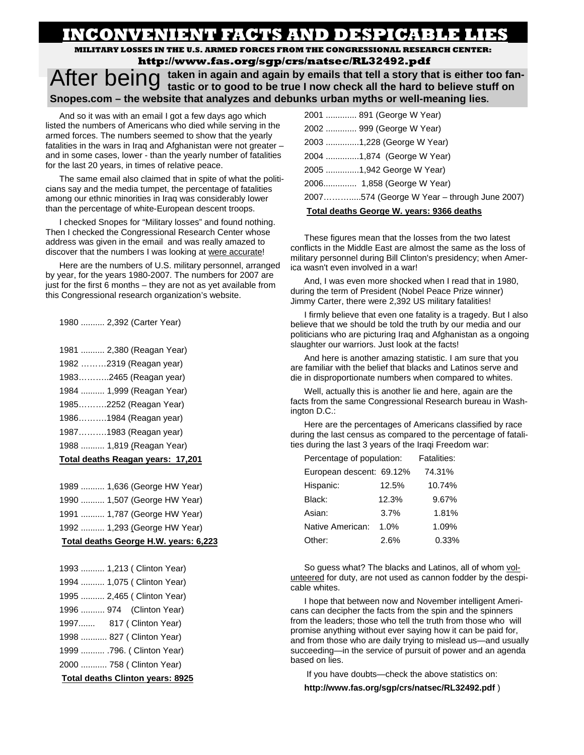# **INCONVENIENT FACTS AND DESPICABLE LIES**

**MILITARY LOSSES IN THE U.S. ARMED FORCES FROM THE CONGRESSIONAL RESEARCH CENTER: http://www.fas.org/sgp/crs/natsec/RL32492.pdf**

After being taken in again and again by emails that tell a story that is either too fan-<br>After believe stuff on **tastic or to good to be true I now check all the hard to believe stuff on Snopes.com – the website that analyzes and debunks urban myths or well-meaning lies.** 

And so it was with an email I got a few days ago which listed the numbers of Americans who died while serving in the armed forces. The numbers seemed to show that the yearly fatalities in the wars in Iraq and Afghanistan were not greater – and in some cases, lower - than the yearly number of fatalities for the last 20 years, in times of relative peace.

The same email also claimed that in spite of what the politicians say and the media tumpet, the percentage of fatalities among our ethnic minorities in Iraq was considerably lower than the percentage of white-European descent troops.

I checked Snopes for "Military losses" and found nothing. Then I checked the Congressional Research Center whose address was given in the email and was really amazed to discover that the numbers I was looking at were accurate!

Here are the numbers of U.S. military personnel, arranged by year, for the years 1980-2007. The numbers for 2007 are just for the first 6 months – they are not as yet available from this Congressional research organization's website.

1980 .......... 2,392 (Carter Year)

- 1981 .......... 2,380 (Reagan Year)
- 1982 ………2319 (Reagan year)
- 1983………..2465 (Reagan year)
- 1984 .......... 1,999 (Reagan Year)
- 1985……….2252 (Reagan Year)
- 1986……….1984 (Reagan year)
- 1987……….1983 (Reagan year)
- 1988 .......... 1,819 (Reagan Year)

#### **Total deaths Reagan years: 17,201**

1989 .......... 1,636 (George HW Year) 1990 .......... 1,507 (George HW Year) 1991 .......... 1,787 (George HW Year)

1992 .......... 1,293 (George HW Year)

#### **Total deaths George H.W. years: 6,223**

| 1993  1,213 ( Clinton Year)             |  |  |  |
|-----------------------------------------|--|--|--|
| 1994  1,075 ( Clinton Year)             |  |  |  |
| 1995  2,465 ( Clinton Year)             |  |  |  |
| 1996  974 (Clinton Year)                |  |  |  |
| 1997 817 ( Clinton Year)                |  |  |  |
| 1998  827 ( Clinton Year)               |  |  |  |
| 1999  .796. ( Clinton Year)             |  |  |  |
| 2000  758 ( Clinton Year)               |  |  |  |
| <b>Total deaths Clinton years: 8925</b> |  |  |  |

| 2001  891 (George W Year)                   |  |  |  |
|---------------------------------------------|--|--|--|
| 2002  999 (George W Year)                   |  |  |  |
| 2003 1,228 (George W Year)                  |  |  |  |
| 2004 1,874 (George W Year)                  |  |  |  |
| 2005 1,942 George W Year)                   |  |  |  |
| 2006 1,858 (George W Year)                  |  |  |  |
| 2007574 (George W Year – through June 2007) |  |  |  |
| Total deaths George W. vears: 9366 deaths   |  |  |  |

These figures mean that the losses from the two latest conflicts in the Middle East are almost the same as the loss of military personnel during Bill Clinton's presidency; when America wasn't even involved in a war!

And, I was even more shocked when I read that in 1980, during the term of President (Nobel Peace Prize winner) Jimmy Carter, there were 2,392 US military fatalities!

I firmly believe that even one fatality is a tragedy. But I also believe that we should be told the truth by our media and our politicians who are picturing Iraq and Afghanistan as a ongoing slaughter our warriors. Just look at the facts!

And here is another amazing statistic. I am sure that you are familiar with the belief that blacks and Latinos serve and die in disproportionate numbers when compared to whites.

Well, actually this is another lie and here, again are the facts from the same Congressional Research bureau in Washington D.C.:

Here are the percentages of Americans classified by race during the last census as compared to the percentage of fatalities during the last 3 years of the Iraqi Freedom war:

| Percentage of population: |       | <b>Fatalities:</b> |
|---------------------------|-------|--------------------|
| European descent: 69.12%  |       | 74.31%             |
| Hispanic:                 | 12.5% | 10.74%             |
| Black:                    | 12.3% | 9.67%              |
| Asian:                    | 3.7%  | 1.81%              |
| Native American:          | 1.0%  | 1.09%              |
| Other:                    | 2.6%  | 0.33%              |

So guess what? The blacks and Latinos, all of whom volunteered for duty, are not used as cannon fodder by the despicable whites.

I hope that between now and November intelligent Americans can decipher the facts from the spin and the spinners from the leaders; those who tell the truth from those who will promise anything without ever saying how it can be paid for, and from those who are daily trying to mislead us—and usually succeeding—in the service of pursuit of power and an agenda based on lies.

If you have doubts—check the above statistics on:

**http://www.fas.org/sgp/crs/natsec/RL32492.pdf** )